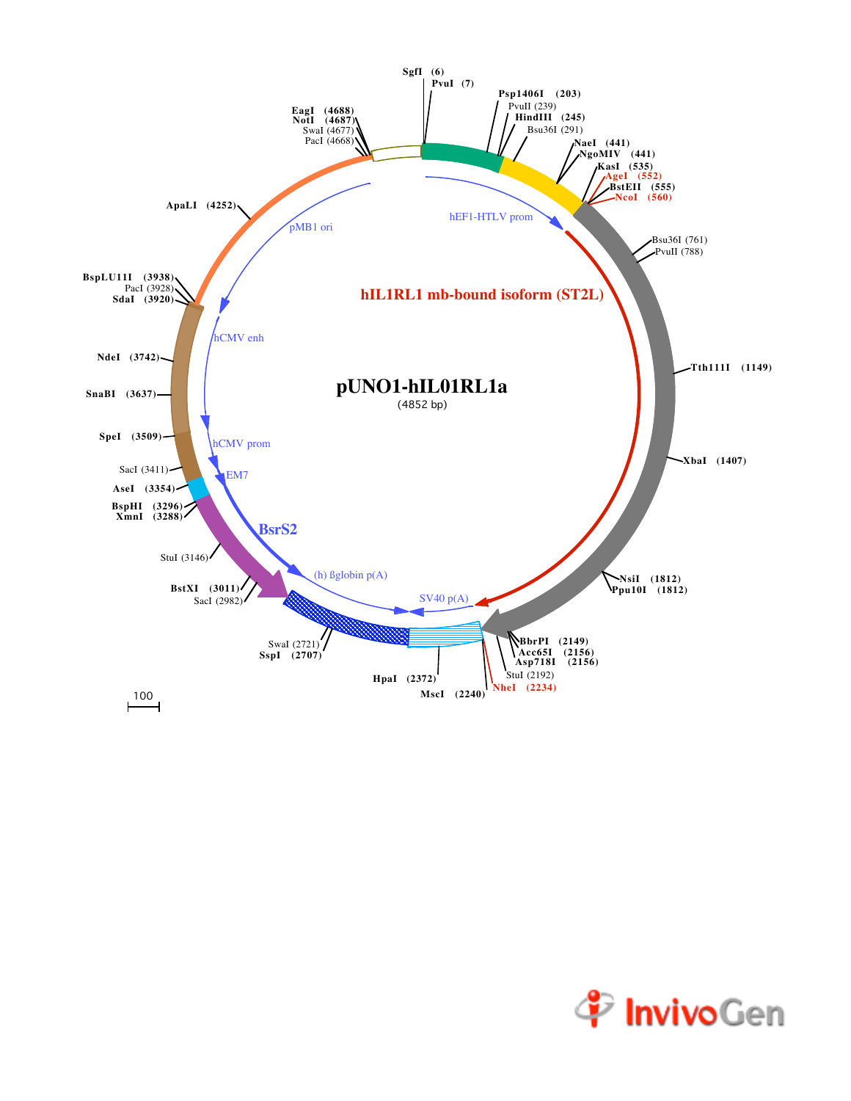

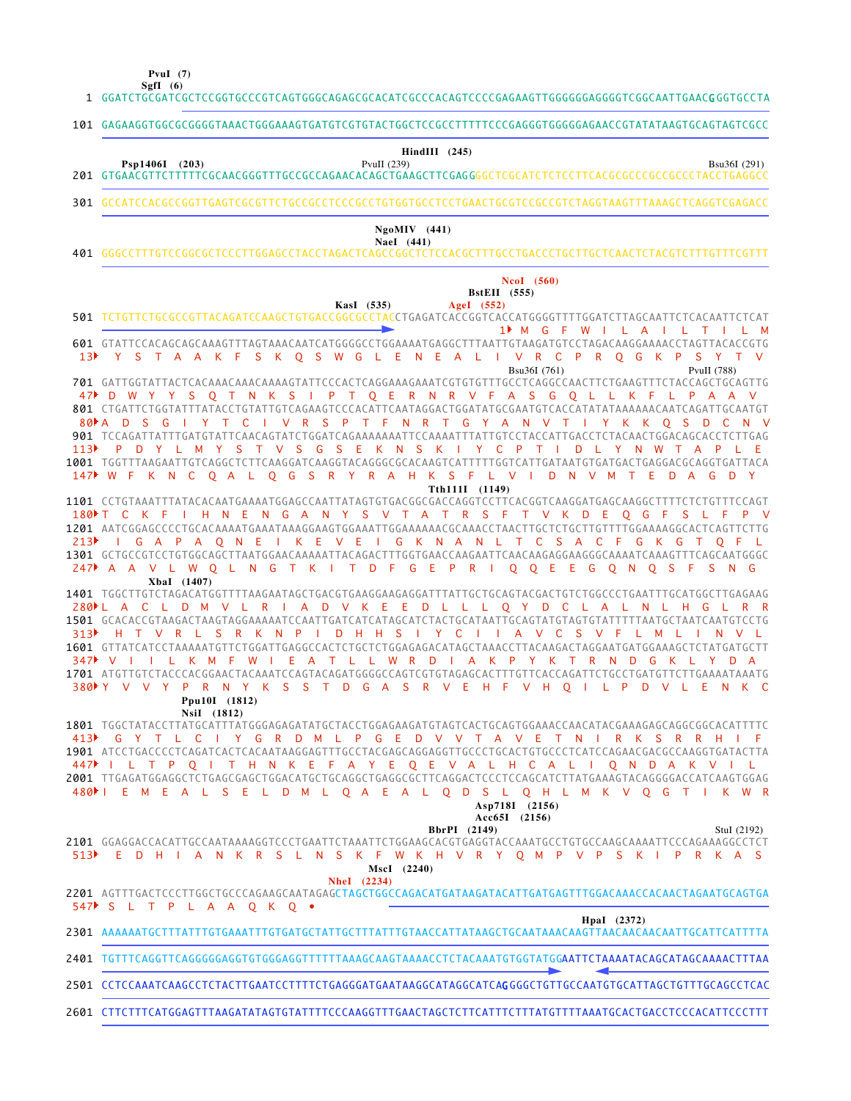**SgfI (6) PvuI (7)**

GGATCTGCGATCGCTCCGGTGCCCGTCAGTGGGCAGAGCGCACATCGCCCACAGTCCCCGAGAAGTTGGGGGGAGGGGTCGGCAATTGAACG GGTGCCTA 1

101 GAGAAGGTGGCGCGGGGTAAACTGGGAAAGTGATGTCGTGTACTGGCTCCGCCTTTTTCCCGAGGGTGGGGGAGAACCGTATATAAGTGCAGTAGTCGCC

**HindIII (245)**

Bsu36I (291)

GTGAACGTTCTTTTTCGCAACGGGTTTGCCGCCAGAACACAGCTGAAGCTTCGAG GGGCTCGCATCTCTCCTTCACGCGCCCGCCGCCCTACCTGAGGCC 201 **Psp1406I (203)** PvuII (239)

301 GCCATCCACGCCGGTTGAGTCGCGTTCTGCCGCCTCCCGCCTGTGGTGCCTCCTGAACTGCGTCCGCCGTCTAGGTAAGTTTAAAGCTCAGGTCGAGACC

## GGGCCTTTGTCCGGCGCTCCCTTGGAGCCTACCTAGACTCAGCCGGCTCTCCACGCTTTGCCTGACCCTGCTTGCTCAACTCTACGTCTTTGTTTCGTTT 401 **NaeI (441) NgoMIV (441) NcoI (560)**

| $NCOI$ (500)                                                                                                                                                                       |
|------------------------------------------------------------------------------------------------------------------------------------------------------------------------------------|
| <b>BstEII</b> (555)<br>AgeI $(552)$<br>KasI (535)                                                                                                                                  |
| 501 TCTGTTCTGCGCCGTTACAGATCCAAGCTGTGACCGGCGCCTACCTGAGATCACCGGTCACCATGGGGTTTTGGATCTTAGCAATTCTCACAATTCTCAT                                                                           |
| 1 <sup>M</sup> G F W I L A I L T<br>$\mathsf{L}$ M                                                                                                                                 |
| 601 GTATTCCACAGCAGCAAAGTTTAGTAAACAATCATGGGGCCTGGAAAATGAGGCTTTAATTGTAAGATGTCCTAGACAAGGAAAACCTAGTTACACCGTG                                                                           |
| 13 <sup>b</sup> Y S T A A K F S K O S W G L E N E A L I V R C P R O G K P S Y T V                                                                                                  |
| Bsu36I (761)<br>PvuII (788)                                                                                                                                                        |
|                                                                                                                                                                                    |
| 47 D W Y Y S Q T N K S I P T Q E R N R V F A S G Q L L K F L P A A V                                                                                                               |
| 801 CTGATTCTGGTATTTATACCTGTATTGTCAGAAGTCCCACATTCAATAGGACTGGATATGCGAATGTCACCATATATAAAAAACAATCAGATTGCAATGT                                                                           |
| 80 A D S G I Y T C I V R S P T F N R T G Y A N V T I Y K K O S D C N V                                                                                                             |
| 901 TCCAGATTATTTGATGTATTCAACAGTATCTGGATCAGAAAAAAATTCCAAAATTTATTGTCCTACCATTGACCTCTACAACTGGACAGCACCTCTTGAG                                                                           |
| 113 PD Y L M Y S T V S G S E K N S K I Y C P T I D L Y N W T A P L E                                                                                                               |
| 1001 TGGTTTAAGAATTGTCAGGCTCTTCAAGGATCAAGGTACAGGGCGCACAAGTCATTTTTGGTCATTGATAATGTGATGACTGAGGACGCAGGTGATTACA                                                                          |
| 147▶ W F K N C O A L O G S R Y R A H K S F L V I D N V M T E D A G D Y                                                                                                             |
| Tth111I (1149)                                                                                                                                                                     |
| 1101 CCTGTAAATTTATACACAATGAAAATGGAGCCAATTATAGTGTGACGGCGACCAGGTCCTTCACGGTCAAGGATGAGCAAGGCTTTTCTCTGTTTCCAGT                                                                          |
| 180 T C K F I H N E N G A N Y S V T A T R S F T V K D E Q G F S L F P V                                                                                                            |
| 1201 AATCGGAGCCCCTGCACAAAATGAAATAAAGGAAGTGGAAATTGGAAAAAACGCAAACCTAACTTGCTCTGCTTGTTTTGGAAAAGGCACTCAGTTCTTG<br>213 I G A P A Q N E I K E V E I G K N A N L T C S A C F G K G T Q F L |
| 1301 GCTGCCGTCCTGTGGCAGCTTAATGGAACAAAAATTACAGACTTTGGTGAACCAAGAATTCAACAAGAGGGAAGGCAAAATCAAAGTTTCAGCAATGGGC                                                                          |
| 247 A A V L W O L N G T K I T D F G E P R I O O E E G O N O S F S N G                                                                                                              |
| XbaI (1407)                                                                                                                                                                        |
|                                                                                                                                                                                    |
| 280 LACLDM VLRIAD VKEED LLLQ YD CLALN LH GLRR                                                                                                                                      |
| 1501 GCACACCGTAAGACTAAGTAGGAAAAATCCAATTGATCATCATAGCATCTACTGCATAATTGCAGTATGTAGTGTATTTTTAATGCTAATCAATGTCCTG                                                                          |
| 313 H T V R L S R K N P I D H H S I Y C I I A V C S V F L M L I N V L                                                                                                              |
| 1601 GTTATCATCCTAAAAATGTTCTGGATTGAGGCCACTCTGCTCTGGAGAGACATAGCTAAACCTTACAAGACTAGGAATGATGGAAAGCTCTATGATGCTT                                                                          |
| 347 VIILK MF WIEATLL WRDIAKP YKTRNDGKLYDA                                                                                                                                          |
|                                                                                                                                                                                    |
| 380Y V V Y P R N Y K S S T D G A S R V E H F V H O I L P D V L E<br>N K C                                                                                                          |
| Ppu10I (1812)                                                                                                                                                                      |
| NsiI (1812)                                                                                                                                                                        |
| 1801 TGGCTATACCTTATGCATTTATGGGAGAGATATGCTACCTGGAGAAGATGTAGTCACTGCAGTGGAAACCAACATACGAAAGAGCAGGCGGCACATTTTC<br>413 GYTL CIYGRD M L P G E D V V T A V E T N I R K S R R H I F         |
| 1901 ATCCTGACCCCTCAGATCACTCACAATAAGGAGTTTGCCTACGAGCAGGAGGTTGCCCTGCACTGTGCCCTCATCCAGAACGACGCCAAGGTGATACTTA                                                                          |
| 447 I L T P Q I T H N K E F A Y E Q E V A L H C A L I Q N D A K V I L                                                                                                              |
|                                                                                                                                                                                    |
| 480 EMEAL SEL DM L Q A E A L Q D S L Q H L M K V Q G T I K W R                                                                                                                     |
| Asp718I (2156)                                                                                                                                                                     |
| $Acc65I$ $(2156)$                                                                                                                                                                  |
| <b>BbrPI</b> (2149)<br>StuI (2192)                                                                                                                                                 |
| 2101 GGAGGACCACATTGCCAATAAAAGGTCCCTGAATTCTAAATTCTGGAAGCACGTGAGGTACCAAATGCCTGTGCCAAGCAAAATTCCCAGAAAGGCCTCT                                                                          |
| 513▶ E D H I A N K R S L N S K F W K H V R Y O M P V P S K I P<br>R K A S                                                                                                          |
| MscI (2240)                                                                                                                                                                        |
| <b>NheI</b> (2234)                                                                                                                                                                 |
| TPLAAQK<br>. L .                                                                                                                                                                   |
| HpaI (2372)                                                                                                                                                                        |
|                                                                                                                                                                                    |
|                                                                                                                                                                                    |
| 2401 TGTTTCAGGTTCAGGGGGAGGTGTGGGAGGTTTTTTAAAGCAAGTAAAACCTCTACAAATGTGGTATGGAATTCTAAAATACAGCATAGCAAAACTTTAA                                                                          |
|                                                                                                                                                                                    |
| 2501 CCTCCAAATCAAGCCTCTACTTGAATCCTTTTCTGAGGGATGAATAAGGCATAGGCATCAGGGGCTGTTGCCAATGTGCATTAGCTGTTTGCAGCCTCAC                                                                          |
| 2601 CTTCTTTCATGGAGTTTAAGATATAGTGTATTTTCCCAAGGTTTGAACTAGCTCTTCATTTCTTTATGTTTTAAATGCACTGACCTCCCACATTCCCTTT                                                                          |